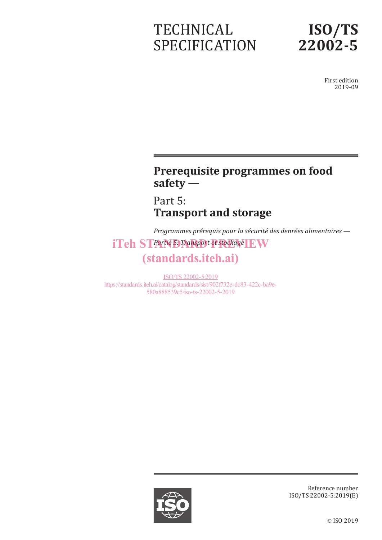# **TECHNICAL SPECIFICATION**



First edition 2019-09

## **Prerequisite programmes on food safety —**

Part 5: **Transport and storage**

*Programmes prérequis pour la sécurité des denrées alimentaires —*

*iTeh STPartie 5: Transport et stockage* IEW

# (standards.iteh.ai)

ISO/TS 22002-5:2019 https://standards.iteh.ai/catalog/standards/sist/902f732e-dc83-422c-ba9e-580a888539c5/iso-ts-22002-5-2019



Reference number ISO/TS 22002-5:2019(E)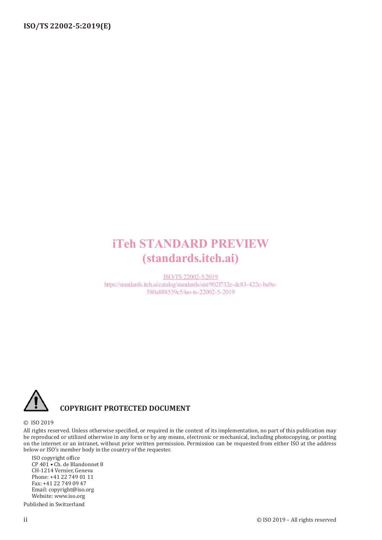# iTeh STANDARD PREVIEW (standards.iteh.ai)

ISO/TS 22002-5:2019 https://standards.iteh.ai/catalog/standards/sist/902f732e-dc83-422c-ba9e-580a888539c5/iso-ts-22002-5-2019



### **COPYRIGHT PROTECTED DOCUMENT**

#### © ISO 2019

All rights reserved. Unless otherwise specified, or required in the context of its implementation, no part of this publication may be reproduced or utilized otherwise in any form or by any means, electronic or mechanical, including photocopying, or posting on the internet or an intranet, without prior written permission. Permission can be requested from either ISO at the address below or ISO's member body in the country of the requester.

ISO copyright office CP 401 • Ch. de Blandonnet 8 CH-1214 Vernier, Geneva Phone: +41 22 749 01 11 Fax: +41 22 749 09 47 Email: copyright@iso.org Website: www.iso.org

Published in Switzerland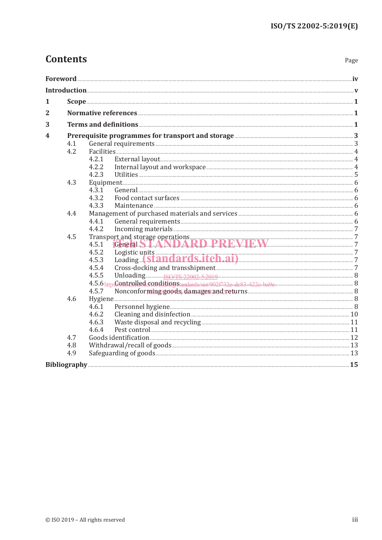## **Contents**

Page

| 1<br>$\overline{2}$<br>3<br>Prerequisite programmes for transport and storage <b>Manual Structure of the Structure Control</b> 3<br>4<br>4.1<br>4.2<br>4.2.1<br>4.2.2<br>4.2.3<br>4.3<br>4.3.1<br>General 2008 and 2008 and 2008 and 2008 and 2008 and 2008 and 2008 and 2008 and 2008 and 2008 and 2008 and 200<br>4.3.2<br>4.3.3<br>4.4<br>4.4.1<br>4.4.2<br>4.5<br>Transport and storage operations<br>4.5.1 General STANDARD PREMIEW<br>4.5.2<br>Logistic units Tandards.iteh.ai) 7<br>Loading (standards.iteh.ai) 7<br>4.5.3<br>4.5.4<br>4.5.5<br>4.5.7<br>4.6<br>4.6.1<br>4.6.2<br>4.6.3<br>Pest control <u>with and a set of the set of the set of the set of the set of the set of the set of the set of the set of the set of the set of the set of the set of the set of the set of the set of the set of the set of the</u><br>4.6.4<br>4.7<br>4.8<br>4.9 |  |  |  |  |
|----------------------------------------------------------------------------------------------------------------------------------------------------------------------------------------------------------------------------------------------------------------------------------------------------------------------------------------------------------------------------------------------------------------------------------------------------------------------------------------------------------------------------------------------------------------------------------------------------------------------------------------------------------------------------------------------------------------------------------------------------------------------------------------------------------------------------------------------------------------------|--|--|--|--|
|                                                                                                                                                                                                                                                                                                                                                                                                                                                                                                                                                                                                                                                                                                                                                                                                                                                                      |  |  |  |  |
|                                                                                                                                                                                                                                                                                                                                                                                                                                                                                                                                                                                                                                                                                                                                                                                                                                                                      |  |  |  |  |
|                                                                                                                                                                                                                                                                                                                                                                                                                                                                                                                                                                                                                                                                                                                                                                                                                                                                      |  |  |  |  |
|                                                                                                                                                                                                                                                                                                                                                                                                                                                                                                                                                                                                                                                                                                                                                                                                                                                                      |  |  |  |  |
|                                                                                                                                                                                                                                                                                                                                                                                                                                                                                                                                                                                                                                                                                                                                                                                                                                                                      |  |  |  |  |
|                                                                                                                                                                                                                                                                                                                                                                                                                                                                                                                                                                                                                                                                                                                                                                                                                                                                      |  |  |  |  |
|                                                                                                                                                                                                                                                                                                                                                                                                                                                                                                                                                                                                                                                                                                                                                                                                                                                                      |  |  |  |  |
|                                                                                                                                                                                                                                                                                                                                                                                                                                                                                                                                                                                                                                                                                                                                                                                                                                                                      |  |  |  |  |
|                                                                                                                                                                                                                                                                                                                                                                                                                                                                                                                                                                                                                                                                                                                                                                                                                                                                      |  |  |  |  |
|                                                                                                                                                                                                                                                                                                                                                                                                                                                                                                                                                                                                                                                                                                                                                                                                                                                                      |  |  |  |  |
|                                                                                                                                                                                                                                                                                                                                                                                                                                                                                                                                                                                                                                                                                                                                                                                                                                                                      |  |  |  |  |
|                                                                                                                                                                                                                                                                                                                                                                                                                                                                                                                                                                                                                                                                                                                                                                                                                                                                      |  |  |  |  |
|                                                                                                                                                                                                                                                                                                                                                                                                                                                                                                                                                                                                                                                                                                                                                                                                                                                                      |  |  |  |  |
|                                                                                                                                                                                                                                                                                                                                                                                                                                                                                                                                                                                                                                                                                                                                                                                                                                                                      |  |  |  |  |
|                                                                                                                                                                                                                                                                                                                                                                                                                                                                                                                                                                                                                                                                                                                                                                                                                                                                      |  |  |  |  |
|                                                                                                                                                                                                                                                                                                                                                                                                                                                                                                                                                                                                                                                                                                                                                                                                                                                                      |  |  |  |  |
|                                                                                                                                                                                                                                                                                                                                                                                                                                                                                                                                                                                                                                                                                                                                                                                                                                                                      |  |  |  |  |
|                                                                                                                                                                                                                                                                                                                                                                                                                                                                                                                                                                                                                                                                                                                                                                                                                                                                      |  |  |  |  |
|                                                                                                                                                                                                                                                                                                                                                                                                                                                                                                                                                                                                                                                                                                                                                                                                                                                                      |  |  |  |  |
|                                                                                                                                                                                                                                                                                                                                                                                                                                                                                                                                                                                                                                                                                                                                                                                                                                                                      |  |  |  |  |
|                                                                                                                                                                                                                                                                                                                                                                                                                                                                                                                                                                                                                                                                                                                                                                                                                                                                      |  |  |  |  |
|                                                                                                                                                                                                                                                                                                                                                                                                                                                                                                                                                                                                                                                                                                                                                                                                                                                                      |  |  |  |  |
|                                                                                                                                                                                                                                                                                                                                                                                                                                                                                                                                                                                                                                                                                                                                                                                                                                                                      |  |  |  |  |
|                                                                                                                                                                                                                                                                                                                                                                                                                                                                                                                                                                                                                                                                                                                                                                                                                                                                      |  |  |  |  |
|                                                                                                                                                                                                                                                                                                                                                                                                                                                                                                                                                                                                                                                                                                                                                                                                                                                                      |  |  |  |  |
|                                                                                                                                                                                                                                                                                                                                                                                                                                                                                                                                                                                                                                                                                                                                                                                                                                                                      |  |  |  |  |
|                                                                                                                                                                                                                                                                                                                                                                                                                                                                                                                                                                                                                                                                                                                                                                                                                                                                      |  |  |  |  |
|                                                                                                                                                                                                                                                                                                                                                                                                                                                                                                                                                                                                                                                                                                                                                                                                                                                                      |  |  |  |  |
|                                                                                                                                                                                                                                                                                                                                                                                                                                                                                                                                                                                                                                                                                                                                                                                                                                                                      |  |  |  |  |
|                                                                                                                                                                                                                                                                                                                                                                                                                                                                                                                                                                                                                                                                                                                                                                                                                                                                      |  |  |  |  |
|                                                                                                                                                                                                                                                                                                                                                                                                                                                                                                                                                                                                                                                                                                                                                                                                                                                                      |  |  |  |  |
|                                                                                                                                                                                                                                                                                                                                                                                                                                                                                                                                                                                                                                                                                                                                                                                                                                                                      |  |  |  |  |
|                                                                                                                                                                                                                                                                                                                                                                                                                                                                                                                                                                                                                                                                                                                                                                                                                                                                      |  |  |  |  |
|                                                                                                                                                                                                                                                                                                                                                                                                                                                                                                                                                                                                                                                                                                                                                                                                                                                                      |  |  |  |  |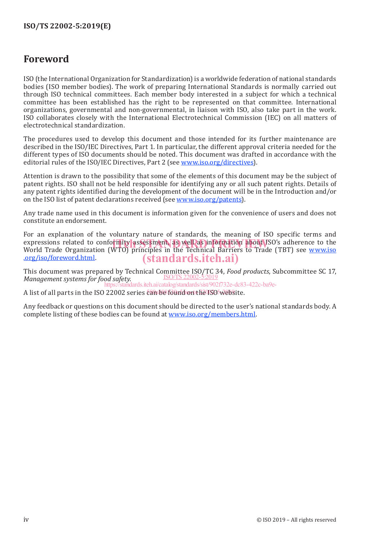## **Foreword**

ISO (the International Organization for Standardization) is a worldwide federation of national standards bodies (ISO member bodies). The work of preparing International Standards is normally carried out through ISO technical committees. Each member body interested in a subject for which a technical committee has been established has the right to be represented on that committee. International organizations, governmental and non-governmental, in liaison with ISO, also take part in the work. ISO collaborates closely with the International Electrotechnical Commission (IEC) on all matters of electrotechnical standardization.

The procedures used to develop this document and those intended for its further maintenance are described in the ISO/IEC Directives, Part 1. In particular, the different approval criteria needed for the different types of ISO documents should be noted. This document was drafted in accordance with the editorial rules of the ISO/IEC Directives, Part 2 (see www.iso.org/directives).

Attention is drawn to the possibility that some of the elements of this document may be the subject of patent rights. ISO shall not be held responsible for identifying any or all such patent rights. Details of any patent rights identified during the development of the document will be in the Introduction and/or on the ISO list of patent declarations received (see www.iso.org/patents).

Any trade name used in this document is information given for the convenience of users and does not constitute an endorsement.

For an explanation of the voluntary nature of standards, the meaning of ISO specific terms and expressions related to conformity assessment, as well as information about ISO's adherence to the expressions of the Water of the Technical Barriers to Trade (TBT) see www.iso. World Trade Organization (WTO) principles in the Technical Barriers to Trade (TBT) see www.iso .org/iso/foreword.html. (standards.iteh.ai)

This document was prepared by Technical Committee ISO/TC 34, *Food products*, Subcommittee SC 17, *Management systems for food safety*. ISO/TS https://standards.iteh.ai/catalog/standards/sist/902f732e-dc83-422c-ba9e-

A list of all parts in the ISO 22002 series <mark>cambe found on the ISO webs</mark>ite.

Any feedback or questions on this document should be directed to the user's national standards body. A complete listing of these bodies can be found at www.iso.org/members.html.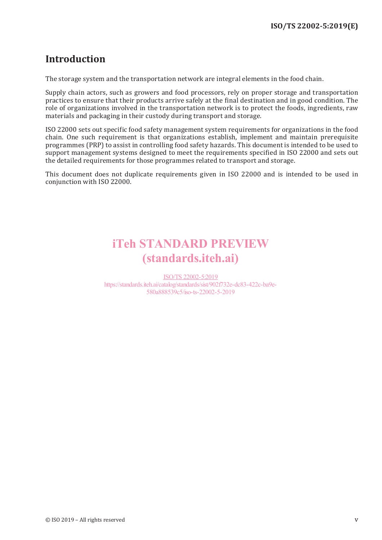## **Introduction**

The storage system and the transportation network are integral elements in the food chain.

Supply chain actors, such as growers and food processors, rely on proper storage and transportation practices to ensure that their products arrive safely at the final destination and in good condition. The role of organizations involved in the transportation network is to protect the foods, ingredients, raw materials and packaging in their custody during transport and storage.

ISO 22000 sets out specific food safety management system requirements for organizations in the food chain. One such requirement is that organizations establish, implement and maintain prerequisite programmes (PRP) to assist in controlling food safety hazards. This document is intended to be used to support management systems designed to meet the requirements specified in ISO 22000 and sets out the detailed requirements for those programmes related to transport and storage.

This document does not duplicate requirements given in ISO 22000 and is intended to be used in conjunction with ISO 22000.

# iTeh STANDARD PREVIEW (standards.iteh.ai)

ISO/TS 22002-5:2019 https://standards.iteh.ai/catalog/standards/sist/902f732e-dc83-422c-ba9e-580a888539c5/iso-ts-22002-5-2019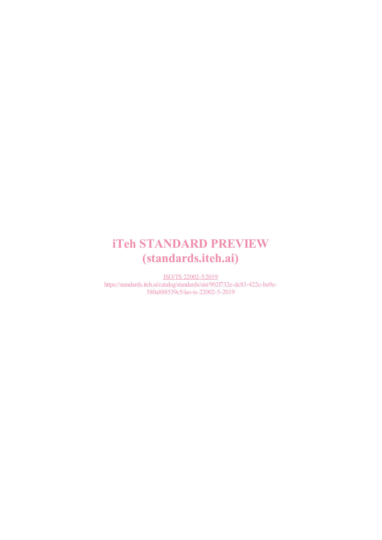# iTeh STANDARD PREVIEW (standards.iteh.ai)

ISO/TS 22002-5:2019 https://standards.iteh.ai/catalog/standards/sist/902f732e-dc83-422c-ba9e-580a888539c5/iso-ts-22002-5-2019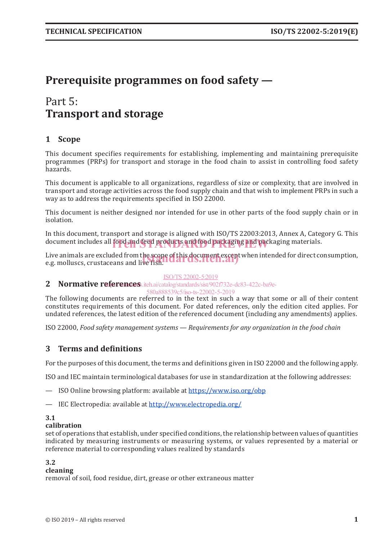## **Prerequisite programmes on food safety —**

## Part 5: **Transport and storage**

### **1 Scope**

This document specifies requirements for establishing, implementing and maintaining prerequisite programmes (PRPs) for transport and storage in the food chain to assist in controlling food safety hazards.

This document is applicable to all organizations, regardless of size or complexity, that are involved in transport and storage activities across the food supply chain and that wish to implement PRPs in such a way as to address the requirements specified in ISO 22000.

This document is neither designed nor intended for use in other parts of the food supply chain or in isolation.

In this document, transport and storage is aligned with ISO/TS 22003:2013, Annex A, Category G. This document includes all food and feed products and food packaging and packaging materials.

Live animals are excluded from the scope of this document except when intended for direct consumption,<br>e.g. molluscs, crustaceans and live fish. e.g. molluscs, crustaceans and live fish.

#### ISO/TS 22002-5:2019

2 **Normative references** .iteh.ai/catalog/standards/sist/902f732e-dc83-422c-ba9e-

580a888539c5/iso-ts-22002-5-2019

The following documents are referred to in the text in such a way that some or all of their content constitutes requirements of this document. For dated references, only the edition cited applies. For undated references, the latest edition of the referenced document (including any amendments) applies.

ISO 22000, *Food safety management systems — Requirements for any organization in the food chain*

#### **3 Terms and definitions**

For the purposes of this document, the terms and definitions given in ISO 22000 and the following apply.

ISO and IEC maintain terminological databases for use in standardization at the following addresses:

- ISO Online browsing platform: available at https://www.iso.org/obp
- IEC Electropedia: available at http://www.electropedia.org/

#### **3.1**

#### **calibration**

set of operations that establish, under specified conditions, the relationship between values of quantities indicated by measuring instruments or measuring systems, or values represented by a material or reference material to corresponding values realized by standards

#### **3.2**

#### **cleaning**

removal of soil, food residue, dirt, grease or other extraneous matter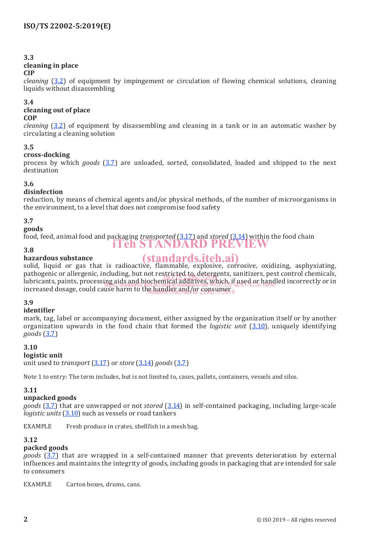#### **3.3**

#### **cleaning in place**

#### **CIP**

*cleaning* (3.2) of equipment by impingement or circulation of flowing chemical solutions, cleaning liquids without disassembling

#### **3.4**

#### **cleaning out of place**

#### **COP**

*cleaning* (3.2) of equipment by disassembling and cleaning in a tank or in an automatic washer by circulating a cleaning solution

#### **3.5**

#### **cross-docking**

process by which *goods* (3.7) are unloaded, sorted, consolidated, loaded and shipped to the next destination

#### **3.6**

#### **disinfection**

reduction, by means of chemical agents and/or physical methods, of the number of microorganisms in the environment, to a level that does not compromise food safety

#### **3.7**

#### **goods**

food, feed, animal food and packaging *transported* (3.17) and *stored* (3.14) within the food chain iTeh STANDARD PREVIEW

#### **3.8**

#### **hazardous substance**

## (standards.iteh.ai)

solid, liquid or gas that is radioactive, flammable, explosive, corrosive, oxidizing, asphyxiating, pathogenic or allergenic, including, but not restricted to, detergents, sanitizers, pest control chemicals,<br>Inhibitative mainta que essein paide and biash allergia diffusion is the sense of such a disposure the suite lubricants, paints, processing aids and biochemical additives, which, if used or handled incorrectly or in<br>https://standards.jen.ai/catalog/standards.sist/902f732e-dc83-422c-ba9eincreased dosage, could cause harm to the handler and/or consumer 580a888539c5/iso-ts-22002-5-2019

#### **3.9**

#### **identifier**

mark, tag, label or accompanying document, either assigned by the organization itself or by another organization upwards in the food chain that formed the *logistic unit* (3.10), uniquely identifying *goods* (3.7)

#### **3.10**

#### **logistic unit**

unit used to *transport* (3.17) or *store* (3.14) *goods* (3.7)

Note 1 to entry: The term includes, but is not limited to, cases, pallets, containers, vessels and silos.

#### **3.11**

#### **unpacked goods**

*goods* (3.7) that are unwrapped or not *stored* (3.14) in self-contained packaging, including large-scale *logistic units* (3.10) such as vessels or road tankers

EXAMPLE Fresh produce in crates, shellfish in a mesh bag.

#### **3.12**

#### **packed goods**

*goods* (3.7) that are wrapped in a self-contained manner that prevents deterioration by external influences and maintains the integrity of goods, including goods in packaging that are intended for sale to consumers

EXAMPLE Carton boxes, drums, cans.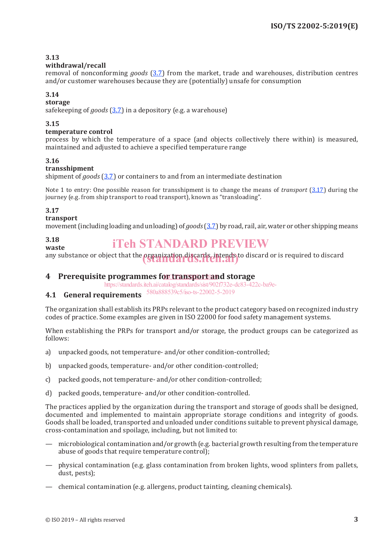### **3.13**

#### **withdrawal/recall**

removal of nonconforming *goods* (3.7) from the market, trade and warehouses, distribution centres and/or customer warehouses because they are (potentially) unsafe for consumption

#### **3.14**

#### **storage**

safekeeping of *goods* (3.7) in a depository (e.g. a warehouse)

#### **3.15**

#### **temperature control**

process by which the temperature of a space (and objects collectively there within) is measured, maintained and adjusted to achieve a specified temperature range

#### **3.16**

#### **transshipment**

shipment of *goods* (3.7) or containers to and from an intermediate destination

Note 1 to entry: One possible reason for transshipment is to change the means of *transport* (3.17) during the journey (e.g. from ship transport to road transport), known as "transloading".

#### **3.17**

#### **transport**

movement (including loading and unloading) of *goods* (3.7) by road, rail, air, water or other shipping means

#### **3.18 waste** iTeh STANDARD PREVIEW

any substance or object that the organization discards, intends to discard or is required to discard

### 4 Prerequisite programmes for transport and storage

https://standards.iteh.ai/catalog/standards/sist/902f732e-dc83-422c-ba9e-

### **4.1 General requirements** 580a888539c5/iso-ts-22002-5-2019

The organization shall establish its PRPs relevant to the product category based on recognized industry codes of practice. Some examples are given in ISO 22000 for food safety management systems.

When establishing the PRPs for transport and/or storage, the product groups can be categorized as follows:

- a) unpacked goods, not temperature- and/or other condition-controlled;
- b) unpacked goods, temperature- and/or other condition-controlled;
- c) packed goods, not temperature- and/or other condition-controlled;
- d) packed goods, temperature- and/or other condition-controlled.

The practices applied by the organization during the transport and storage of goods shall be designed, documented and implemented to maintain appropriate storage conditions and integrity of goods. Goods shall be loaded, transported and unloaded under conditions suitable to prevent physical damage, cross-contamination and spoilage, including, but not limited to:

- microbiological contamination and/or growth (e.g. bacterial growth resulting from the temperature abuse of goods that require temperature control);
- physical contamination (e.g. glass contamination from broken lights, wood splinters from pallets, dust, pests);
- chemical contamination (e.g. allergens, product tainting, cleaning chemicals).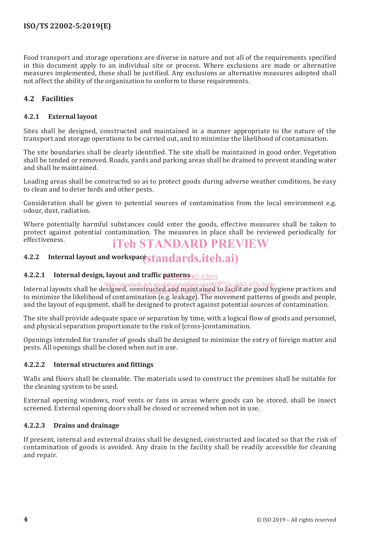Food transport and storage operations are diverse in nature and not all of the requirements specified in this document apply to an individual site or process. Where exclusions are made or alternative measures implemented, these shall be justified. Any exclusions or alternative measures adopted shall not affect the ability of the organization to conform to these requirements.

#### **4.2 Facilities**

#### **4.2.1 External layout**

Sites shall be designed, constructed and maintained in a manner appropriate to the nature of the transport and storage operations to be carried out, and to minimize the likelihood of contamination.

The site boundaries shall be clearly identified. The site shall be maintained in good order. Vegetation shall be tended or removed. Roads, yards and parking areas shall be drained to prevent standing water and shall be maintained.

Loading areas shall be constructed so as to protect goods during adverse weather conditions, be easy to clean and to deter birds and other pests.

Consideration shall be given to potential sources of contamination from the local environment e.g. odour, dust, radiation.

Where potentially harmful substances could enter the goods, effective measures shall be taken to protect against potential contamination. The measures in place shall be reviewed periodically for effectiveness. iTeh STANDARD PREVIEW

# **4.2.2 Internal layout and workspace** (standards.iteh.ai)

### **4.2.2.1** Internal design, layout and traffic patterns<sub>002-5:2019</sub>

Internal layouts shall be designed, constructed and maintained to facilitate good hygiene practices and to minimize the likelihood of contamination (e.g. leakage). The movement patterns of goods and people, and the layout of equipment, shall be designed to protect against potential sources of contamination. https://standards.iteh.ai/catalog/standards/sist/902f732e-dc83-422c-ba9e-FUCLEU, and manutalited to Fac

The site shall provide adequate space or separation by time, with a logical flow of goods and personnel, and physical separation proportionate to the risk of (cross-)contamination.

Openings intended for transfer of goods shall be designed to minimize the entry of foreign matter and pests. All openings shall be closed when not in use.

#### **4.2.2.2 Internal structures and fittings**

Walls and floors shall be cleanable. The materials used to construct the premises shall be suitable for the cleaning system to be used.

External opening windows, roof vents or fans in areas where goods can be stored, shall be insect screened. External opening doors shall be closed or screened when not in use.

#### **4.2.2.3 Drains and drainage**

If present, internal and external drains shall be designed, constructed and located so that the risk of contamination of goods is avoided. Any drain in the facility shall be readily accessible for cleaning and repair.